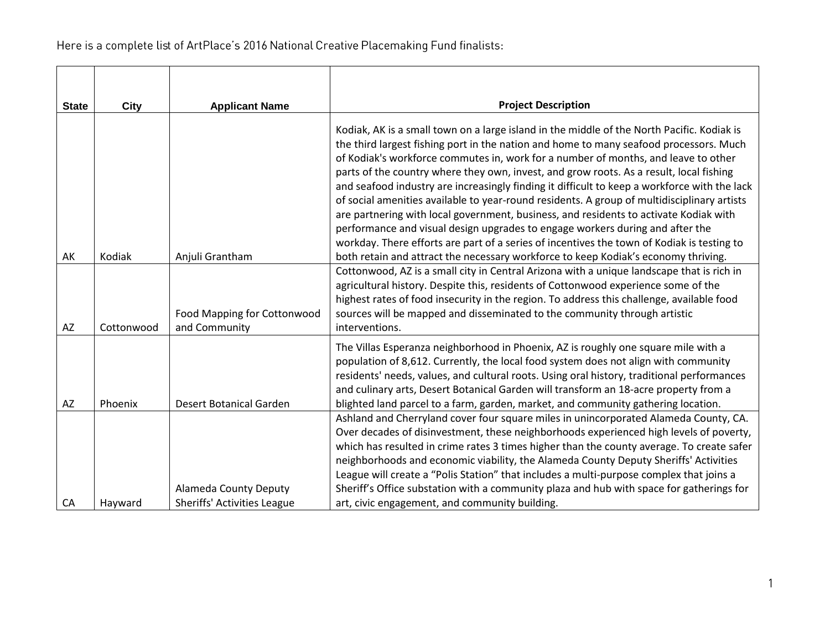| <b>State</b> | <b>City</b> | <b>Applicant Name</b>                                              | <b>Project Description</b>                                                                                                                                                                                                                                                                                                                                                                                                                                                                                                                                                                                                                                                                                                                                                                                                                                                                                                         |
|--------------|-------------|--------------------------------------------------------------------|------------------------------------------------------------------------------------------------------------------------------------------------------------------------------------------------------------------------------------------------------------------------------------------------------------------------------------------------------------------------------------------------------------------------------------------------------------------------------------------------------------------------------------------------------------------------------------------------------------------------------------------------------------------------------------------------------------------------------------------------------------------------------------------------------------------------------------------------------------------------------------------------------------------------------------|
| AK           | Kodiak      | Anjuli Grantham                                                    | Kodiak, AK is a small town on a large island in the middle of the North Pacific. Kodiak is<br>the third largest fishing port in the nation and home to many seafood processors. Much<br>of Kodiak's workforce commutes in, work for a number of months, and leave to other<br>parts of the country where they own, invest, and grow roots. As a result, local fishing<br>and seafood industry are increasingly finding it difficult to keep a workforce with the lack<br>of social amenities available to year-round residents. A group of multidisciplinary artists<br>are partnering with local government, business, and residents to activate Kodiak with<br>performance and visual design upgrades to engage workers during and after the<br>workday. There efforts are part of a series of incentives the town of Kodiak is testing to<br>both retain and attract the necessary workforce to keep Kodiak's economy thriving. |
| AZ           | Cottonwood  | Food Mapping for Cottonwood<br>and Community                       | Cottonwood, AZ is a small city in Central Arizona with a unique landscape that is rich in<br>agricultural history. Despite this, residents of Cottonwood experience some of the<br>highest rates of food insecurity in the region. To address this challenge, available food<br>sources will be mapped and disseminated to the community through artistic<br>interventions.                                                                                                                                                                                                                                                                                                                                                                                                                                                                                                                                                        |
| AZ           | Phoenix     | <b>Desert Botanical Garden</b>                                     | The Villas Esperanza neighborhood in Phoenix, AZ is roughly one square mile with a<br>population of 8,612. Currently, the local food system does not align with community<br>residents' needs, values, and cultural roots. Using oral history, traditional performances<br>and culinary arts, Desert Botanical Garden will transform an 18-acre property from a<br>blighted land parcel to a farm, garden, market, and community gathering location.                                                                                                                                                                                                                                                                                                                                                                                                                                                                               |
| CA           | Hayward     | <b>Alameda County Deputy</b><br><b>Sheriffs' Activities League</b> | Ashland and Cherryland cover four square miles in unincorporated Alameda County, CA.<br>Over decades of disinvestment, these neighborhoods experienced high levels of poverty,<br>which has resulted in crime rates 3 times higher than the county average. To create safer<br>neighborhoods and economic viability, the Alameda County Deputy Sheriffs' Activities<br>League will create a "Polis Station" that includes a multi-purpose complex that joins a<br>Sheriff's Office substation with a community plaza and hub with space for gatherings for<br>art, civic engagement, and community building.                                                                                                                                                                                                                                                                                                                       |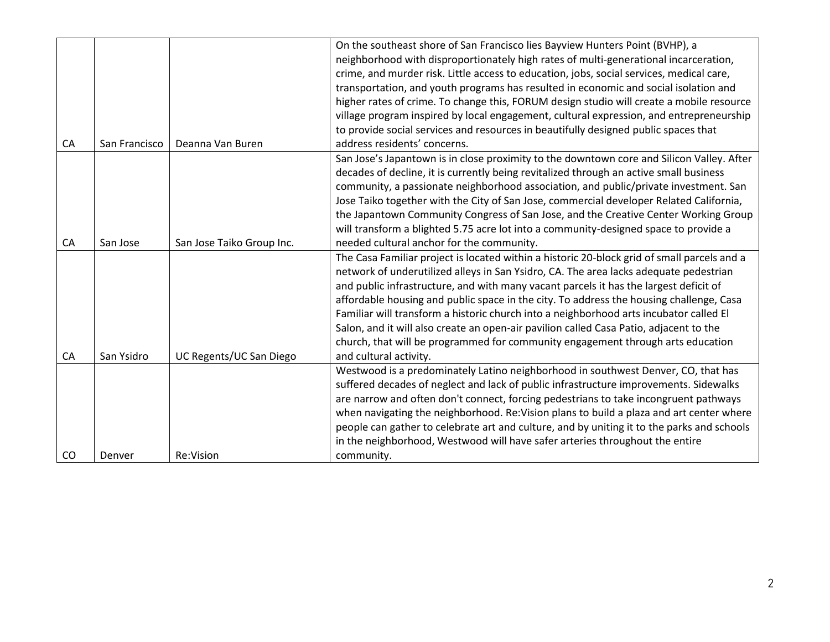|    |               |                           | On the southeast shore of San Francisco lies Bayview Hunters Point (BVHP), a                |
|----|---------------|---------------------------|---------------------------------------------------------------------------------------------|
|    |               |                           | neighborhood with disproportionately high rates of multi-generational incarceration,        |
|    |               |                           | crime, and murder risk. Little access to education, jobs, social services, medical care,    |
|    |               |                           | transportation, and youth programs has resulted in economic and social isolation and        |
|    |               |                           | higher rates of crime. To change this, FORUM design studio will create a mobile resource    |
|    |               |                           | village program inspired by local engagement, cultural expression, and entrepreneurship     |
|    |               |                           | to provide social services and resources in beautifully designed public spaces that         |
| CA | San Francisco | Deanna Van Buren          | address residents' concerns.                                                                |
|    |               |                           | San Jose's Japantown is in close proximity to the downtown core and Silicon Valley. After   |
|    |               |                           | decades of decline, it is currently being revitalized through an active small business      |
|    |               |                           | community, a passionate neighborhood association, and public/private investment. San        |
|    |               |                           | Jose Taiko together with the City of San Jose, commercial developer Related California,     |
|    |               |                           | the Japantown Community Congress of San Jose, and the Creative Center Working Group         |
|    |               |                           | will transform a blighted 5.75 acre lot into a community-designed space to provide a        |
| CA | San Jose      | San Jose Taiko Group Inc. | needed cultural anchor for the community.                                                   |
|    |               |                           | The Casa Familiar project is located within a historic 20-block grid of small parcels and a |
|    |               |                           | network of underutilized alleys in San Ysidro, CA. The area lacks adequate pedestrian       |
|    |               |                           | and public infrastructure, and with many vacant parcels it has the largest deficit of       |
|    |               |                           | affordable housing and public space in the city. To address the housing challenge, Casa     |
|    |               |                           | Familiar will transform a historic church into a neighborhood arts incubator called El      |
|    |               |                           | Salon, and it will also create an open-air pavilion called Casa Patio, adjacent to the      |
|    |               |                           | church, that will be programmed for community engagement through arts education             |
| CA | San Ysidro    | UC Regents/UC San Diego   | and cultural activity.                                                                      |
|    |               |                           | Westwood is a predominately Latino neighborhood in southwest Denver, CO, that has           |
|    |               |                           | suffered decades of neglect and lack of public infrastructure improvements. Sidewalks       |
|    |               |                           | are narrow and often don't connect, forcing pedestrians to take incongruent pathways        |
|    |               |                           | when navigating the neighborhood. Re: Vision plans to build a plaza and art center where    |
|    |               |                           | people can gather to celebrate art and culture, and by uniting it to the parks and schools  |
|    |               |                           | in the neighborhood, Westwood will have safer arteries throughout the entire                |
| CO | Denver        | Re:Vision                 | community.                                                                                  |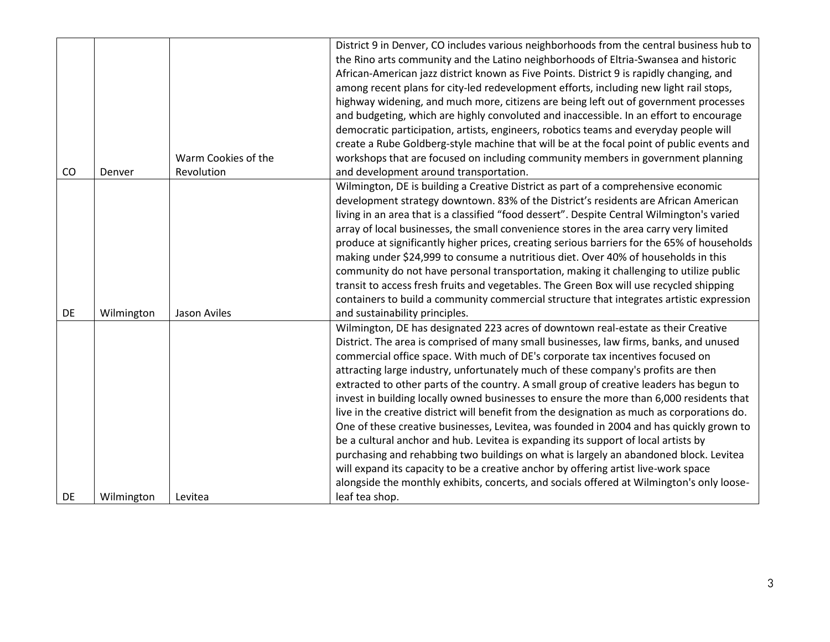|    |            |                     | District 9 in Denver, CO includes various neighborhoods from the central business hub to    |
|----|------------|---------------------|---------------------------------------------------------------------------------------------|
|    |            |                     | the Rino arts community and the Latino neighborhoods of Eltria-Swansea and historic         |
|    |            |                     | African-American jazz district known as Five Points. District 9 is rapidly changing, and    |
|    |            |                     | among recent plans for city-led redevelopment efforts, including new light rail stops,      |
|    |            |                     | highway widening, and much more, citizens are being left out of government processes        |
|    |            |                     | and budgeting, which are highly convoluted and inaccessible. In an effort to encourage      |
|    |            |                     | democratic participation, artists, engineers, robotics teams and everyday people will       |
|    |            |                     | create a Rube Goldberg-style machine that will be at the focal point of public events and   |
|    |            | Warm Cookies of the | workshops that are focused on including community members in government planning            |
| CO | Denver     | Revolution          | and development around transportation.                                                      |
|    |            |                     | Wilmington, DE is building a Creative District as part of a comprehensive economic          |
|    |            |                     | development strategy downtown. 83% of the District's residents are African American         |
|    |            |                     | living in an area that is a classified "food dessert". Despite Central Wilmington's varied  |
|    |            |                     | array of local businesses, the small convenience stores in the area carry very limited      |
|    |            |                     | produce at significantly higher prices, creating serious barriers for the 65% of households |
|    |            |                     | making under \$24,999 to consume a nutritious diet. Over 40% of households in this          |
|    |            |                     | community do not have personal transportation, making it challenging to utilize public      |
|    |            |                     | transit to access fresh fruits and vegetables. The Green Box will use recycled shipping     |
|    |            |                     | containers to build a community commercial structure that integrates artistic expression    |
| DE | Wilmington | Jason Aviles        | and sustainability principles.                                                              |
|    |            |                     | Wilmington, DE has designated 223 acres of downtown real-estate as their Creative           |
|    |            |                     | District. The area is comprised of many small businesses, law firms, banks, and unused      |
|    |            |                     | commercial office space. With much of DE's corporate tax incentives focused on              |
|    |            |                     | attracting large industry, unfortunately much of these company's profits are then           |
|    |            |                     | extracted to other parts of the country. A small group of creative leaders has begun to     |
|    |            |                     | invest in building locally owned businesses to ensure the more than 6,000 residents that    |
|    |            |                     | live in the creative district will benefit from the designation as much as corporations do. |
|    |            |                     | One of these creative businesses, Levitea, was founded in 2004 and has quickly grown to     |
|    |            |                     | be a cultural anchor and hub. Levitea is expanding its support of local artists by          |
|    |            |                     | purchasing and rehabbing two buildings on what is largely an abandoned block. Levitea       |
|    |            |                     | will expand its capacity to be a creative anchor by offering artist live-work space         |
|    |            |                     | alongside the monthly exhibits, concerts, and socials offered at Wilmington's only loose-   |
| DE | Wilmington | Levitea             | leaf tea shop.                                                                              |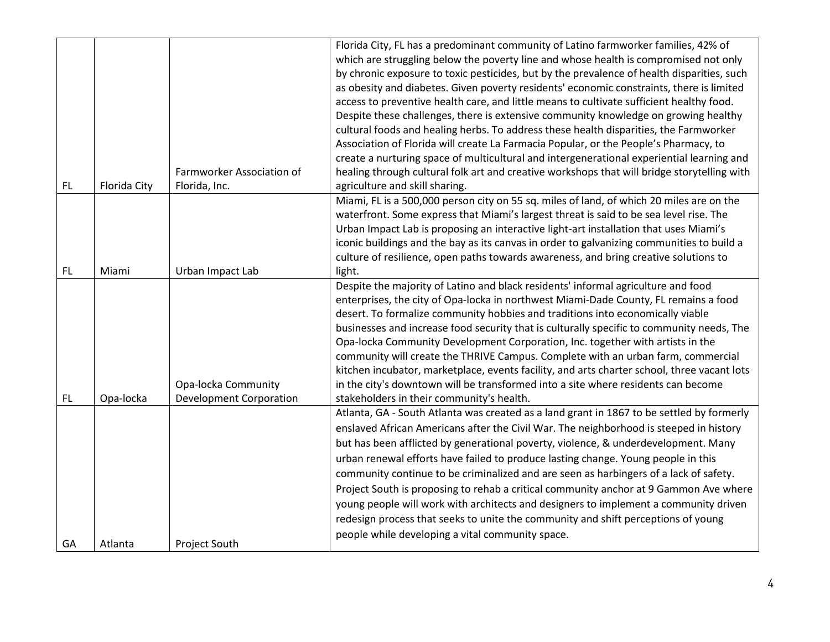|           |              |                                | Florida City, FL has a predominant community of Latino farmworker families, 42% of          |
|-----------|--------------|--------------------------------|---------------------------------------------------------------------------------------------|
|           |              |                                | which are struggling below the poverty line and whose health is compromised not only        |
|           |              |                                | by chronic exposure to toxic pesticides, but by the prevalence of health disparities, such  |
|           |              |                                | as obesity and diabetes. Given poverty residents' economic constraints, there is limited    |
|           |              |                                | access to preventive health care, and little means to cultivate sufficient healthy food.    |
|           |              |                                | Despite these challenges, there is extensive community knowledge on growing healthy         |
|           |              |                                | cultural foods and healing herbs. To address these health disparities, the Farmworker       |
|           |              |                                | Association of Florida will create La Farmacia Popular, or the People's Pharmacy, to        |
|           |              |                                | create a nurturing space of multicultural and intergenerational experiential learning and   |
|           |              | Farmworker Association of      | healing through cultural folk art and creative workshops that will bridge storytelling with |
| <b>FL</b> | Florida City | Florida, Inc.                  | agriculture and skill sharing.                                                              |
|           |              |                                | Miami, FL is a 500,000 person city on 55 sq. miles of land, of which 20 miles are on the    |
|           |              |                                | waterfront. Some express that Miami's largest threat is said to be sea level rise. The      |
|           |              |                                | Urban Impact Lab is proposing an interactive light-art installation that uses Miami's       |
|           |              |                                | iconic buildings and the bay as its canvas in order to galvanizing communities to build a   |
|           |              |                                | culture of resilience, open paths towards awareness, and bring creative solutions to        |
| <b>FL</b> | Miami        | Urban Impact Lab               | light.                                                                                      |
|           |              |                                | Despite the majority of Latino and black residents' informal agriculture and food           |
|           |              |                                | enterprises, the city of Opa-locka in northwest Miami-Dade County, FL remains a food        |
|           |              |                                | desert. To formalize community hobbies and traditions into economically viable              |
|           |              |                                | businesses and increase food security that is culturally specific to community needs, The   |
|           |              |                                | Opa-locka Community Development Corporation, Inc. together with artists in the              |
|           |              |                                | community will create the THRIVE Campus. Complete with an urban farm, commercial            |
|           |              |                                | kitchen incubator, marketplace, events facility, and arts charter school, three vacant lots |
|           |              | Opa-locka Community            | in the city's downtown will be transformed into a site where residents can become           |
| FL        | Opa-locka    | <b>Development Corporation</b> | stakeholders in their community's health.                                                   |
|           |              |                                | Atlanta, GA - South Atlanta was created as a land grant in 1867 to be settled by formerly   |
|           |              |                                | enslaved African Americans after the Civil War. The neighborhood is steeped in history      |
|           |              |                                | but has been afflicted by generational poverty, violence, & underdevelopment. Many          |
|           |              |                                | urban renewal efforts have failed to produce lasting change. Young people in this           |
|           |              |                                | community continue to be criminalized and are seen as harbingers of a lack of safety.       |
|           |              |                                | Project South is proposing to rehab a critical community anchor at 9 Gammon Ave where       |
|           |              |                                | young people will work with architects and designers to implement a community driven        |
|           |              |                                | redesign process that seeks to unite the community and shift perceptions of young           |
|           |              |                                | people while developing a vital community space.                                            |
| GA        | Atlanta      | Project South                  |                                                                                             |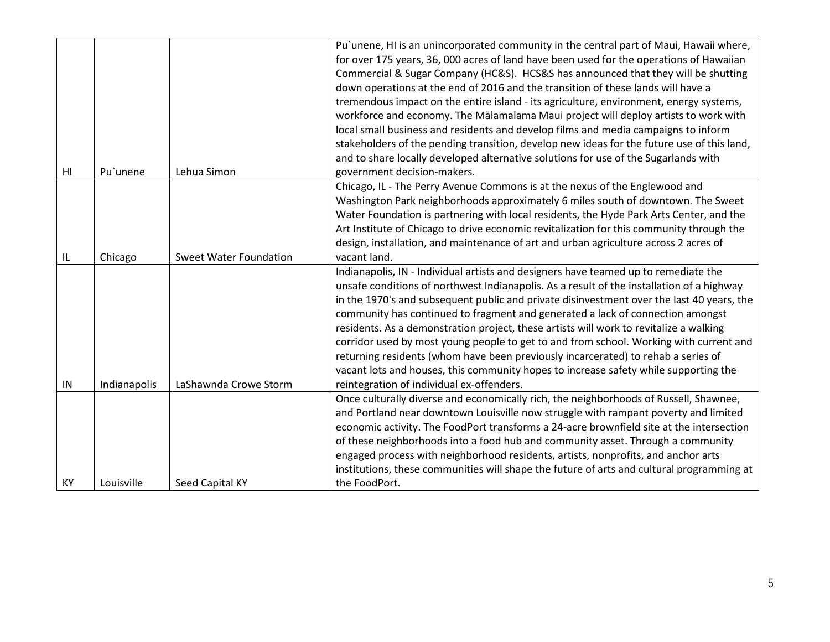|    |              |                               | Pu'unene, HI is an unincorporated community in the central part of Maui, Hawaii where,<br>for over 175 years, 36, 000 acres of land have been used for the operations of Hawaiian<br>Commercial & Sugar Company (HC&S). HCS&S has announced that they will be shutting<br>down operations at the end of 2016 and the transition of these lands will have a<br>tremendous impact on the entire island - its agriculture, environment, energy systems,                                                                                                                                                                                                                                                                                                                          |
|----|--------------|-------------------------------|-------------------------------------------------------------------------------------------------------------------------------------------------------------------------------------------------------------------------------------------------------------------------------------------------------------------------------------------------------------------------------------------------------------------------------------------------------------------------------------------------------------------------------------------------------------------------------------------------------------------------------------------------------------------------------------------------------------------------------------------------------------------------------|
|    |              |                               | workforce and economy. The Mālamalama Maui project will deploy artists to work with<br>local small business and residents and develop films and media campaigns to inform                                                                                                                                                                                                                                                                                                                                                                                                                                                                                                                                                                                                     |
|    |              |                               | stakeholders of the pending transition, develop new ideas for the future use of this land,                                                                                                                                                                                                                                                                                                                                                                                                                                                                                                                                                                                                                                                                                    |
| HI | Pu'unene     | Lehua Simon                   | and to share locally developed alternative solutions for use of the Sugarlands with<br>government decision-makers.                                                                                                                                                                                                                                                                                                                                                                                                                                                                                                                                                                                                                                                            |
|    |              |                               | Chicago, IL - The Perry Avenue Commons is at the nexus of the Englewood and                                                                                                                                                                                                                                                                                                                                                                                                                                                                                                                                                                                                                                                                                                   |
|    |              |                               | Washington Park neighborhoods approximately 6 miles south of downtown. The Sweet                                                                                                                                                                                                                                                                                                                                                                                                                                                                                                                                                                                                                                                                                              |
|    |              |                               | Water Foundation is partnering with local residents, the Hyde Park Arts Center, and the                                                                                                                                                                                                                                                                                                                                                                                                                                                                                                                                                                                                                                                                                       |
|    |              |                               | Art Institute of Chicago to drive economic revitalization for this community through the                                                                                                                                                                                                                                                                                                                                                                                                                                                                                                                                                                                                                                                                                      |
|    |              |                               | design, installation, and maintenance of art and urban agriculture across 2 acres of                                                                                                                                                                                                                                                                                                                                                                                                                                                                                                                                                                                                                                                                                          |
| IL | Chicago      | <b>Sweet Water Foundation</b> | vacant land.                                                                                                                                                                                                                                                                                                                                                                                                                                                                                                                                                                                                                                                                                                                                                                  |
| IN | Indianapolis | LaShawnda Crowe Storm         | Indianapolis, IN - Individual artists and designers have teamed up to remediate the<br>unsafe conditions of northwest Indianapolis. As a result of the installation of a highway<br>in the 1970's and subsequent public and private disinvestment over the last 40 years, the<br>community has continued to fragment and generated a lack of connection amongst<br>residents. As a demonstration project, these artists will work to revitalize a walking<br>corridor used by most young people to get to and from school. Working with current and<br>returning residents (whom have been previously incarcerated) to rehab a series of<br>vacant lots and houses, this community hopes to increase safety while supporting the<br>reintegration of individual ex-offenders. |
|    |              |                               | Once culturally diverse and economically rich, the neighborhoods of Russell, Shawnee,                                                                                                                                                                                                                                                                                                                                                                                                                                                                                                                                                                                                                                                                                         |
|    |              |                               | and Portland near downtown Louisville now struggle with rampant poverty and limited                                                                                                                                                                                                                                                                                                                                                                                                                                                                                                                                                                                                                                                                                           |
|    |              |                               | economic activity. The FoodPort transforms a 24-acre brownfield site at the intersection                                                                                                                                                                                                                                                                                                                                                                                                                                                                                                                                                                                                                                                                                      |
|    |              |                               | of these neighborhoods into a food hub and community asset. Through a community                                                                                                                                                                                                                                                                                                                                                                                                                                                                                                                                                                                                                                                                                               |
|    |              |                               | engaged process with neighborhood residents, artists, nonprofits, and anchor arts                                                                                                                                                                                                                                                                                                                                                                                                                                                                                                                                                                                                                                                                                             |
|    |              |                               | institutions, these communities will shape the future of arts and cultural programming at                                                                                                                                                                                                                                                                                                                                                                                                                                                                                                                                                                                                                                                                                     |
| KY | Louisville   | Seed Capital KY               | the FoodPort.                                                                                                                                                                                                                                                                                                                                                                                                                                                                                                                                                                                                                                                                                                                                                                 |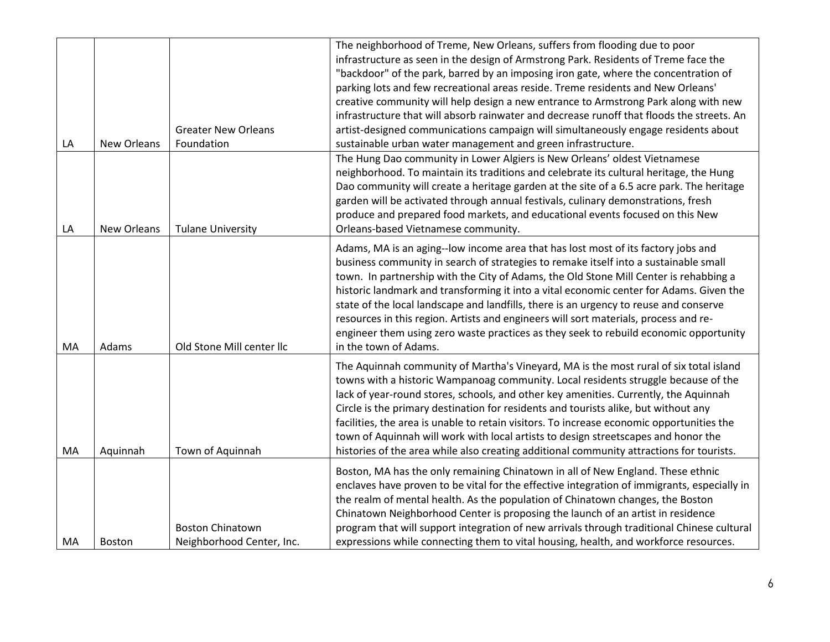|    |             |                            | The neighborhood of Treme, New Orleans, suffers from flooding due to poor                   |
|----|-------------|----------------------------|---------------------------------------------------------------------------------------------|
|    |             |                            | infrastructure as seen in the design of Armstrong Park. Residents of Treme face the         |
|    |             |                            | "backdoor" of the park, barred by an imposing iron gate, where the concentration of         |
|    |             |                            | parking lots and few recreational areas reside. Treme residents and New Orleans'            |
|    |             |                            | creative community will help design a new entrance to Armstrong Park along with new         |
|    |             |                            | infrastructure that will absorb rainwater and decrease runoff that floods the streets. An   |
|    |             | <b>Greater New Orleans</b> | artist-designed communications campaign will simultaneously engage residents about          |
| LA | New Orleans | Foundation                 | sustainable urban water management and green infrastructure.                                |
|    |             |                            | The Hung Dao community in Lower Algiers is New Orleans' oldest Vietnamese                   |
|    |             |                            | neighborhood. To maintain its traditions and celebrate its cultural heritage, the Hung      |
|    |             |                            | Dao community will create a heritage garden at the site of a 6.5 acre park. The heritage    |
|    |             |                            | garden will be activated through annual festivals, culinary demonstrations, fresh           |
|    |             |                            | produce and prepared food markets, and educational events focused on this New               |
| LA | New Orleans | <b>Tulane University</b>   | Orleans-based Vietnamese community.                                                         |
|    |             |                            | Adams, MA is an aging--low income area that has lost most of its factory jobs and           |
|    |             |                            | business community in search of strategies to remake itself into a sustainable small        |
|    |             |                            | town. In partnership with the City of Adams, the Old Stone Mill Center is rehabbing a       |
|    |             |                            | historic landmark and transforming it into a vital economic center for Adams. Given the     |
|    |             |                            | state of the local landscape and landfills, there is an urgency to reuse and conserve       |
|    |             |                            | resources in this region. Artists and engineers will sort materials, process and re-        |
|    |             |                            | engineer them using zero waste practices as they seek to rebuild economic opportunity       |
| MA | Adams       | Old Stone Mill center Ilc  | in the town of Adams.                                                                       |
|    |             |                            |                                                                                             |
|    |             |                            | The Aquinnah community of Martha's Vineyard, MA is the most rural of six total island       |
|    |             |                            | towns with a historic Wampanoag community. Local residents struggle because of the          |
|    |             |                            | lack of year-round stores, schools, and other key amenities. Currently, the Aquinnah        |
|    |             |                            | Circle is the primary destination for residents and tourists alike, but without any         |
|    |             |                            | facilities, the area is unable to retain visitors. To increase economic opportunities the   |
|    |             |                            | town of Aquinnah will work with local artists to design streetscapes and honor the          |
| MA | Aquinnah    | Town of Aquinnah           | histories of the area while also creating additional community attractions for tourists.    |
|    |             |                            | Boston, MA has the only remaining Chinatown in all of New England. These ethnic             |
|    |             |                            | enclaves have proven to be vital for the effective integration of immigrants, especially in |
|    |             |                            | the realm of mental health. As the population of Chinatown changes, the Boston              |
|    |             |                            | Chinatown Neighborhood Center is proposing the launch of an artist in residence             |
|    |             | <b>Boston Chinatown</b>    | program that will support integration of new arrivals through traditional Chinese cultural  |
| MA | Boston      | Neighborhood Center, Inc.  | expressions while connecting them to vital housing, health, and workforce resources.        |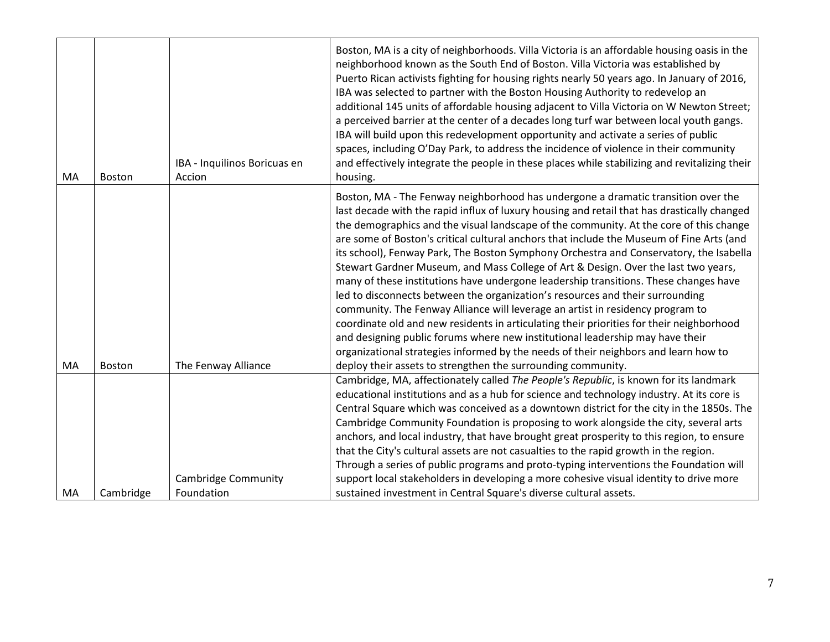| <b>Boston</b> | IBA - Inquilinos Boricuas en<br>Accion | Boston, MA is a city of neighborhoods. Villa Victoria is an affordable housing oasis in the<br>neighborhood known as the South End of Boston. Villa Victoria was established by<br>Puerto Rican activists fighting for housing rights nearly 50 years ago. In January of 2016,<br>IBA was selected to partner with the Boston Housing Authority to redevelop an<br>additional 145 units of affordable housing adjacent to Villa Victoria on W Newton Street;<br>a perceived barrier at the center of a decades long turf war between local youth gangs.<br>IBA will build upon this redevelopment opportunity and activate a series of public<br>spaces, including O'Day Park, to address the incidence of violence in their community<br>and effectively integrate the people in these places while stabilizing and revitalizing their<br>housing.                                                                                                                                                                                                                                                                                                   |
|---------------|----------------------------------------|-------------------------------------------------------------------------------------------------------------------------------------------------------------------------------------------------------------------------------------------------------------------------------------------------------------------------------------------------------------------------------------------------------------------------------------------------------------------------------------------------------------------------------------------------------------------------------------------------------------------------------------------------------------------------------------------------------------------------------------------------------------------------------------------------------------------------------------------------------------------------------------------------------------------------------------------------------------------------------------------------------------------------------------------------------------------------------------------------------------------------------------------------------|
| <b>Boston</b> |                                        | Boston, MA - The Fenway neighborhood has undergone a dramatic transition over the<br>last decade with the rapid influx of luxury housing and retail that has drastically changed<br>the demographics and the visual landscape of the community. At the core of this change<br>are some of Boston's critical cultural anchors that include the Museum of Fine Arts (and<br>its school), Fenway Park, The Boston Symphony Orchestra and Conservatory, the Isabella<br>Stewart Gardner Museum, and Mass College of Art & Design. Over the last two years,<br>many of these institutions have undergone leadership transitions. These changes have<br>led to disconnects between the organization's resources and their surrounding<br>community. The Fenway Alliance will leverage an artist in residency program to<br>coordinate old and new residents in articulating their priorities for their neighborhood<br>and designing public forums where new institutional leadership may have their<br>organizational strategies informed by the needs of their neighbors and learn how to<br>deploy their assets to strengthen the surrounding community. |
|               | <b>Cambridge Community</b>             | Cambridge, MA, affectionately called The People's Republic, is known for its landmark<br>educational institutions and as a hub for science and technology industry. At its core is<br>Central Square which was conceived as a downtown district for the city in the 1850s. The<br>Cambridge Community Foundation is proposing to work alongside the city, several arts<br>anchors, and local industry, that have brought great prosperity to this region, to ensure<br>that the City's cultural assets are not casualties to the rapid growth in the region.<br>Through a series of public programs and proto-typing interventions the Foundation will<br>support local stakeholders in developing a more cohesive visual identity to drive more<br>sustained investment in Central Square's diverse cultural assets.                                                                                                                                                                                                                                                                                                                                 |
|               | Cambridge                              | The Fenway Alliance<br>Foundation                                                                                                                                                                                                                                                                                                                                                                                                                                                                                                                                                                                                                                                                                                                                                                                                                                                                                                                                                                                                                                                                                                                     |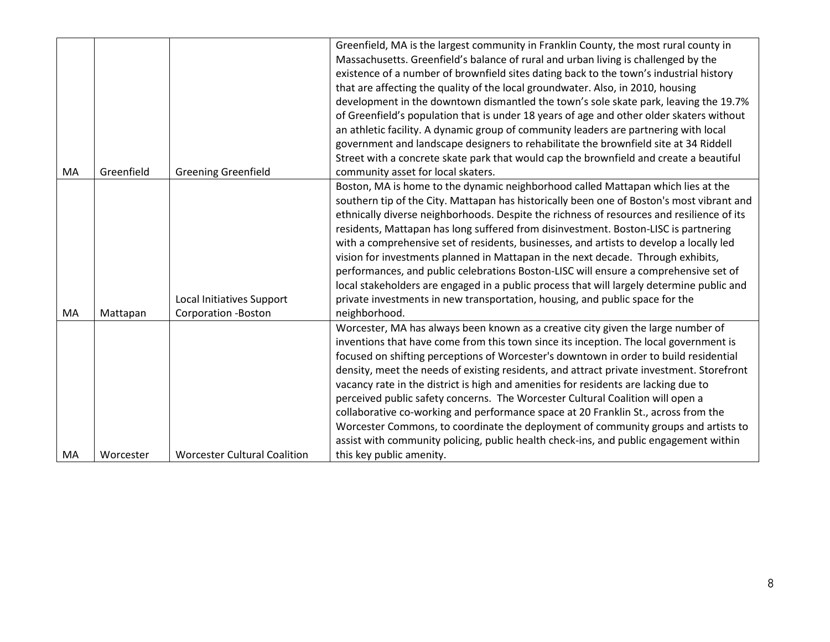|    |            |                                     | Greenfield, MA is the largest community in Franklin County, the most rural county in      |
|----|------------|-------------------------------------|-------------------------------------------------------------------------------------------|
|    |            |                                     | Massachusetts. Greenfield's balance of rural and urban living is challenged by the        |
|    |            |                                     | existence of a number of brownfield sites dating back to the town's industrial history    |
|    |            |                                     | that are affecting the quality of the local groundwater. Also, in 2010, housing           |
|    |            |                                     | development in the downtown dismantled the town's sole skate park, leaving the 19.7%      |
|    |            |                                     | of Greenfield's population that is under 18 years of age and other older skaters without  |
|    |            |                                     | an athletic facility. A dynamic group of community leaders are partnering with local      |
|    |            |                                     | government and landscape designers to rehabilitate the brownfield site at 34 Riddell      |
|    |            |                                     | Street with a concrete skate park that would cap the brownfield and create a beautiful    |
| MA | Greenfield | <b>Greening Greenfield</b>          | community asset for local skaters.                                                        |
|    |            |                                     | Boston, MA is home to the dynamic neighborhood called Mattapan which lies at the          |
|    |            |                                     | southern tip of the City. Mattapan has historically been one of Boston's most vibrant and |
|    |            |                                     | ethnically diverse neighborhoods. Despite the richness of resources and resilience of its |
|    |            |                                     | residents, Mattapan has long suffered from disinvestment. Boston-LISC is partnering       |
|    |            |                                     | with a comprehensive set of residents, businesses, and artists to develop a locally led   |
|    |            |                                     | vision for investments planned in Mattapan in the next decade. Through exhibits,          |
|    |            |                                     | performances, and public celebrations Boston-LISC will ensure a comprehensive set of      |
|    |            |                                     | local stakeholders are engaged in a public process that will largely determine public and |
|    |            | Local Initiatives Support           | private investments in new transportation, housing, and public space for the              |
| MA | Mattapan   | <b>Corporation -Boston</b>          | neighborhood.                                                                             |
|    |            |                                     | Worcester, MA has always been known as a creative city given the large number of          |
|    |            |                                     | inventions that have come from this town since its inception. The local government is     |
|    |            |                                     | focused on shifting perceptions of Worcester's downtown in order to build residential     |
|    |            |                                     | density, meet the needs of existing residents, and attract private investment. Storefront |
|    |            |                                     | vacancy rate in the district is high and amenities for residents are lacking due to       |
|    |            |                                     | perceived public safety concerns. The Worcester Cultural Coalition will open a            |
|    |            |                                     | collaborative co-working and performance space at 20 Franklin St., across from the        |
|    |            |                                     | Worcester Commons, to coordinate the deployment of community groups and artists to        |
|    |            |                                     | assist with community policing, public health check-ins, and public engagement within     |
| MA | Worcester  | <b>Worcester Cultural Coalition</b> | this key public amenity.                                                                  |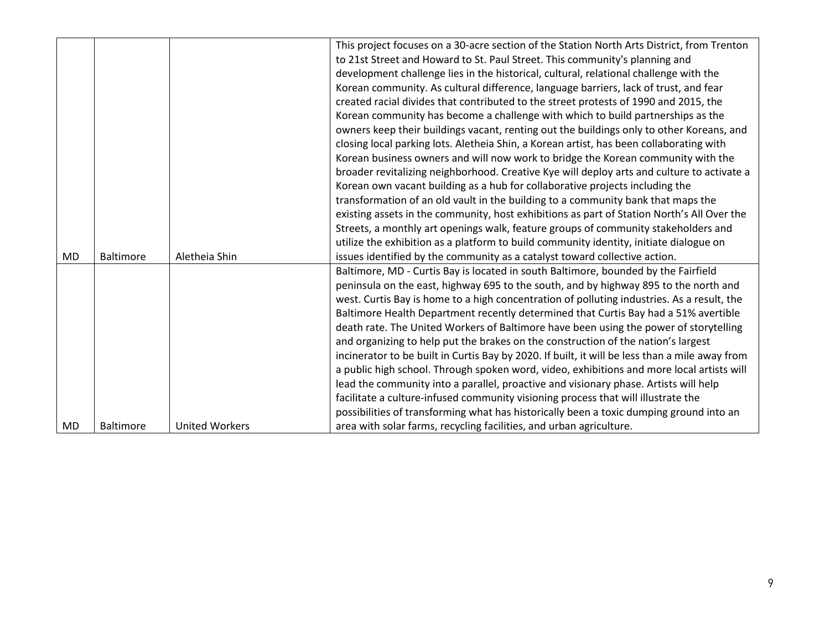|           |                  |                       | This project focuses on a 30-acre section of the Station North Arts District, from Trenton     |
|-----------|------------------|-----------------------|------------------------------------------------------------------------------------------------|
|           |                  |                       | to 21st Street and Howard to St. Paul Street. This community's planning and                    |
|           |                  |                       | development challenge lies in the historical, cultural, relational challenge with the          |
|           |                  |                       | Korean community. As cultural difference, language barriers, lack of trust, and fear           |
|           |                  |                       | created racial divides that contributed to the street protests of 1990 and 2015, the           |
|           |                  |                       | Korean community has become a challenge with which to build partnerships as the                |
|           |                  |                       | owners keep their buildings vacant, renting out the buildings only to other Koreans, and       |
|           |                  |                       | closing local parking lots. Aletheia Shin, a Korean artist, has been collaborating with        |
|           |                  |                       | Korean business owners and will now work to bridge the Korean community with the               |
|           |                  |                       | broader revitalizing neighborhood. Creative Kye will deploy arts and culture to activate a     |
|           |                  |                       | Korean own vacant building as a hub for collaborative projects including the                   |
|           |                  |                       | transformation of an old vault in the building to a community bank that maps the               |
|           |                  |                       | existing assets in the community, host exhibitions as part of Station North's All Over the     |
|           |                  |                       | Streets, a monthly art openings walk, feature groups of community stakeholders and             |
|           |                  |                       | utilize the exhibition as a platform to build community identity, initiate dialogue on         |
| <b>MD</b> | <b>Baltimore</b> | Aletheia Shin         | issues identified by the community as a catalyst toward collective action.                     |
|           |                  |                       | Baltimore, MD - Curtis Bay is located in south Baltimore, bounded by the Fairfield             |
|           |                  |                       | peninsula on the east, highway 695 to the south, and by highway 895 to the north and           |
|           |                  |                       | west. Curtis Bay is home to a high concentration of polluting industries. As a result, the     |
|           |                  |                       | Baltimore Health Department recently determined that Curtis Bay had a 51% avertible            |
|           |                  |                       | death rate. The United Workers of Baltimore have been using the power of storytelling          |
|           |                  |                       | and organizing to help put the brakes on the construction of the nation's largest              |
|           |                  |                       | incinerator to be built in Curtis Bay by 2020. If built, it will be less than a mile away from |
|           |                  |                       | a public high school. Through spoken word, video, exhibitions and more local artists will      |
|           |                  |                       | lead the community into a parallel, proactive and visionary phase. Artists will help           |
|           |                  |                       | facilitate a culture-infused community visioning process that will illustrate the              |
|           |                  |                       | possibilities of transforming what has historically been a toxic dumping ground into an        |
| MD        | <b>Baltimore</b> | <b>United Workers</b> | area with solar farms, recycling facilities, and urban agriculture.                            |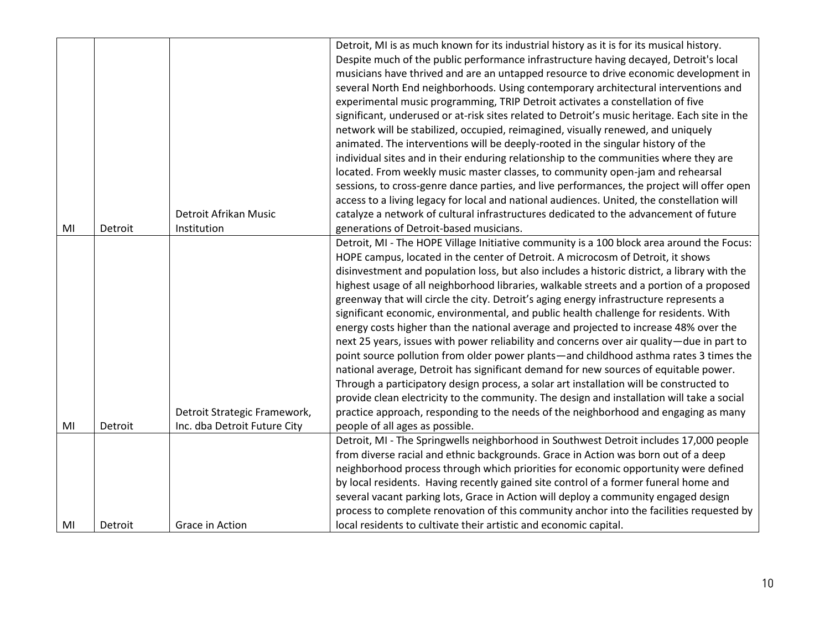|                |         |                              | Detroit, MI is as much known for its industrial history as it is for its musical history.     |
|----------------|---------|------------------------------|-----------------------------------------------------------------------------------------------|
|                |         |                              |                                                                                               |
|                |         |                              | Despite much of the public performance infrastructure having decayed, Detroit's local         |
|                |         |                              | musicians have thrived and are an untapped resource to drive economic development in          |
|                |         |                              | several North End neighborhoods. Using contemporary architectural interventions and           |
|                |         |                              | experimental music programming, TRIP Detroit activates a constellation of five                |
|                |         |                              | significant, underused or at-risk sites related to Detroit's music heritage. Each site in the |
|                |         |                              | network will be stabilized, occupied, reimagined, visually renewed, and uniquely              |
|                |         |                              | animated. The interventions will be deeply-rooted in the singular history of the              |
|                |         |                              | individual sites and in their enduring relationship to the communities where they are         |
|                |         |                              | located. From weekly music master classes, to community open-jam and rehearsal                |
|                |         |                              | sessions, to cross-genre dance parties, and live performances, the project will offer open    |
|                |         |                              | access to a living legacy for local and national audiences. United, the constellation will    |
|                |         | Detroit Afrikan Music        | catalyze a network of cultural infrastructures dedicated to the advancement of future         |
| M <sub>l</sub> | Detroit | Institution                  | generations of Detroit-based musicians.                                                       |
|                |         |                              | Detroit, MI - The HOPE Village Initiative community is a 100 block area around the Focus:     |
|                |         |                              | HOPE campus, located in the center of Detroit. A microcosm of Detroit, it shows               |
|                |         |                              | disinvestment and population loss, but also includes a historic district, a library with the  |
|                |         |                              | highest usage of all neighborhood libraries, walkable streets and a portion of a proposed     |
|                |         |                              | greenway that will circle the city. Detroit's aging energy infrastructure represents a        |
|                |         |                              | significant economic, environmental, and public health challenge for residents. With          |
|                |         |                              | energy costs higher than the national average and projected to increase 48% over the          |
|                |         |                              | next 25 years, issues with power reliability and concerns over air quality-due in part to     |
|                |         |                              | point source pollution from older power plants—and childhood asthma rates 3 times the         |
|                |         |                              | national average, Detroit has significant demand for new sources of equitable power.          |
|                |         |                              | Through a participatory design process, a solar art installation will be constructed to       |
|                |         |                              | provide clean electricity to the community. The design and installation will take a social    |
|                |         | Detroit Strategic Framework, | practice approach, responding to the needs of the neighborhood and engaging as many           |
| MI             | Detroit | Inc. dba Detroit Future City | people of all ages as possible.                                                               |
|                |         |                              | Detroit, MI - The Springwells neighborhood in Southwest Detroit includes 17,000 people        |
|                |         |                              | from diverse racial and ethnic backgrounds. Grace in Action was born out of a deep            |
|                |         |                              | neighborhood process through which priorities for economic opportunity were defined           |
|                |         |                              | by local residents. Having recently gained site control of a former funeral home and          |
|                |         |                              |                                                                                               |
|                |         |                              | several vacant parking lots, Grace in Action will deploy a community engaged design           |
|                |         |                              | process to complete renovation of this community anchor into the facilities requested by      |
| MI             | Detroit | Grace in Action              | local residents to cultivate their artistic and economic capital.                             |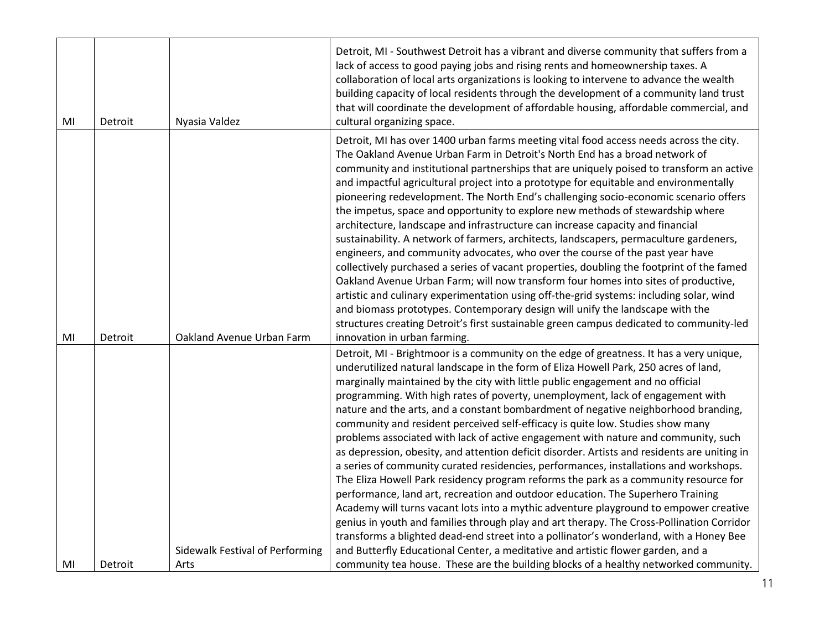| Detroit | Nyasia Valdez             | Detroit, MI - Southwest Detroit has a vibrant and diverse community that suffers from a<br>lack of access to good paying jobs and rising rents and homeownership taxes. A<br>collaboration of local arts organizations is looking to intervene to advance the wealth<br>building capacity of local residents through the development of a community land trust<br>that will coordinate the development of affordable housing, affordable commercial, and<br>cultural organizing space.                                                                                                                                                                                                                                                                                                                                                                                                                                                                                                                                                                                                                                                                                                                                                                                 |
|---------|---------------------------|------------------------------------------------------------------------------------------------------------------------------------------------------------------------------------------------------------------------------------------------------------------------------------------------------------------------------------------------------------------------------------------------------------------------------------------------------------------------------------------------------------------------------------------------------------------------------------------------------------------------------------------------------------------------------------------------------------------------------------------------------------------------------------------------------------------------------------------------------------------------------------------------------------------------------------------------------------------------------------------------------------------------------------------------------------------------------------------------------------------------------------------------------------------------------------------------------------------------------------------------------------------------|
|         |                           | Detroit, MI has over 1400 urban farms meeting vital food access needs across the city.<br>The Oakland Avenue Urban Farm in Detroit's North End has a broad network of<br>community and institutional partnerships that are uniquely poised to transform an active<br>and impactful agricultural project into a prototype for equitable and environmentally<br>pioneering redevelopment. The North End's challenging socio-economic scenario offers<br>the impetus, space and opportunity to explore new methods of stewardship where<br>architecture, landscape and infrastructure can increase capacity and financial<br>sustainability. A network of farmers, architects, landscapers, permaculture gardeners,<br>engineers, and community advocates, who over the course of the past year have<br>collectively purchased a series of vacant properties, doubling the footprint of the famed<br>Oakland Avenue Urban Farm; will now transform four homes into sites of productive,<br>artistic and culinary experimentation using off-the-grid systems: including solar, wind<br>and biomass prototypes. Contemporary design will unify the landscape with the<br>structures creating Detroit's first sustainable green campus dedicated to community-led            |
| Detroit | Oakland Avenue Urban Farm | innovation in urban farming.                                                                                                                                                                                                                                                                                                                                                                                                                                                                                                                                                                                                                                                                                                                                                                                                                                                                                                                                                                                                                                                                                                                                                                                                                                           |
|         |                           | Detroit, MI - Brightmoor is a community on the edge of greatness. It has a very unique,<br>underutilized natural landscape in the form of Eliza Howell Park, 250 acres of land,<br>marginally maintained by the city with little public engagement and no official<br>programming. With high rates of poverty, unemployment, lack of engagement with<br>nature and the arts, and a constant bombardment of negative neighborhood branding,<br>community and resident perceived self-efficacy is quite low. Studies show many<br>problems associated with lack of active engagement with nature and community, such<br>as depression, obesity, and attention deficit disorder. Artists and residents are uniting in<br>a series of community curated residencies, performances, installations and workshops.<br>The Eliza Howell Park residency program reforms the park as a community resource for<br>performance, land art, recreation and outdoor education. The Superhero Training<br>Academy will turns vacant lots into a mythic adventure playground to empower creative<br>genius in youth and families through play and art therapy. The Cross-Pollination Corridor<br>transforms a blighted dead-end street into a pollinator's wonderland, with a Honey Bee |
| Detroit | Arts                      | and Butterfly Educational Center, a meditative and artistic flower garden, and a<br>community tea house. These are the building blocks of a healthy networked community.                                                                                                                                                                                                                                                                                                                                                                                                                                                                                                                                                                                                                                                                                                                                                                                                                                                                                                                                                                                                                                                                                               |
|         |                           | Sidewalk Festival of Performing                                                                                                                                                                                                                                                                                                                                                                                                                                                                                                                                                                                                                                                                                                                                                                                                                                                                                                                                                                                                                                                                                                                                                                                                                                        |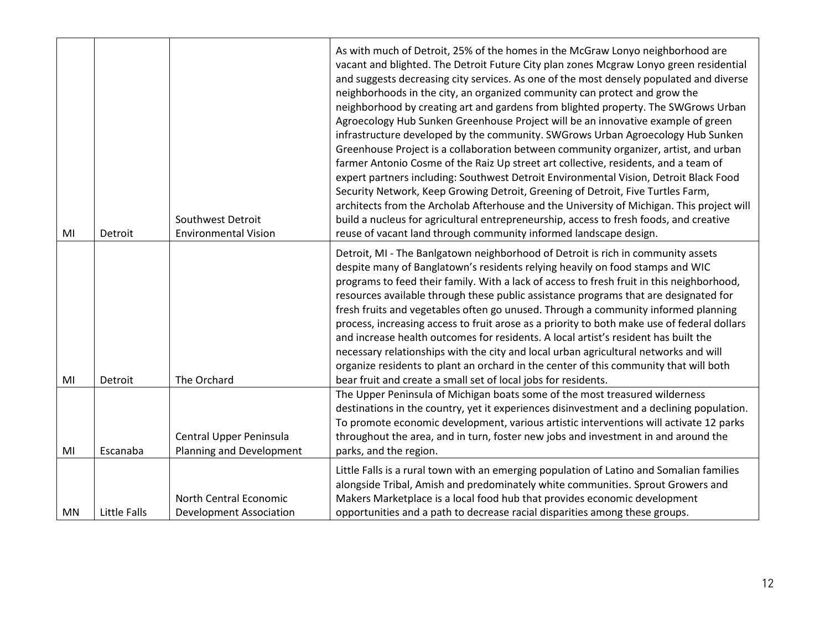| MI | Detroit      | Southwest Detroit<br><b>Environmental Vision</b>         | As with much of Detroit, 25% of the homes in the McGraw Lonyo neighborhood are<br>vacant and blighted. The Detroit Future City plan zones Mcgraw Lonyo green residential<br>and suggests decreasing city services. As one of the most densely populated and diverse<br>neighborhoods in the city, an organized community can protect and grow the<br>neighborhood by creating art and gardens from blighted property. The SWGrows Urban<br>Agroecology Hub Sunken Greenhouse Project will be an innovative example of green<br>infrastructure developed by the community. SWGrows Urban Agroecology Hub Sunken<br>Greenhouse Project is a collaboration between community organizer, artist, and urban<br>farmer Antonio Cosme of the Raiz Up street art collective, residents, and a team of<br>expert partners including: Southwest Detroit Environmental Vision, Detroit Black Food<br>Security Network, Keep Growing Detroit, Greening of Detroit, Five Turtles Farm,<br>architects from the Archolab Afterhouse and the University of Michigan. This project will<br>build a nucleus for agricultural entrepreneurship, access to fresh foods, and creative<br>reuse of vacant land through community informed landscape design. |
|----|--------------|----------------------------------------------------------|---------------------------------------------------------------------------------------------------------------------------------------------------------------------------------------------------------------------------------------------------------------------------------------------------------------------------------------------------------------------------------------------------------------------------------------------------------------------------------------------------------------------------------------------------------------------------------------------------------------------------------------------------------------------------------------------------------------------------------------------------------------------------------------------------------------------------------------------------------------------------------------------------------------------------------------------------------------------------------------------------------------------------------------------------------------------------------------------------------------------------------------------------------------------------------------------------------------------------------------|
| MI | Detroit      | The Orchard                                              | Detroit, MI - The Banlgatown neighborhood of Detroit is rich in community assets<br>despite many of Banglatown's residents relying heavily on food stamps and WIC<br>programs to feed their family. With a lack of access to fresh fruit in this neighborhood,<br>resources available through these public assistance programs that are designated for<br>fresh fruits and vegetables often go unused. Through a community informed planning<br>process, increasing access to fruit arose as a priority to both make use of federal dollars<br>and increase health outcomes for residents. A local artist's resident has built the<br>necessary relationships with the city and local urban agricultural networks and will<br>organize residents to plant an orchard in the center of this community that will both<br>bear fruit and create a small set of local jobs for residents.                                                                                                                                                                                                                                                                                                                                                 |
| MI | Escanaba     | Central Upper Peninsula<br>Planning and Development      | The Upper Peninsula of Michigan boats some of the most treasured wilderness<br>destinations in the country, yet it experiences disinvestment and a declining population.<br>To promote economic development, various artistic interventions will activate 12 parks<br>throughout the area, and in turn, foster new jobs and investment in and around the<br>parks, and the region.                                                                                                                                                                                                                                                                                                                                                                                                                                                                                                                                                                                                                                                                                                                                                                                                                                                    |
| MN | Little Falls | North Central Economic<br><b>Development Association</b> | Little Falls is a rural town with an emerging population of Latino and Somalian families<br>alongside Tribal, Amish and predominately white communities. Sprout Growers and<br>Makers Marketplace is a local food hub that provides economic development<br>opportunities and a path to decrease racial disparities among these groups.                                                                                                                                                                                                                                                                                                                                                                                                                                                                                                                                                                                                                                                                                                                                                                                                                                                                                               |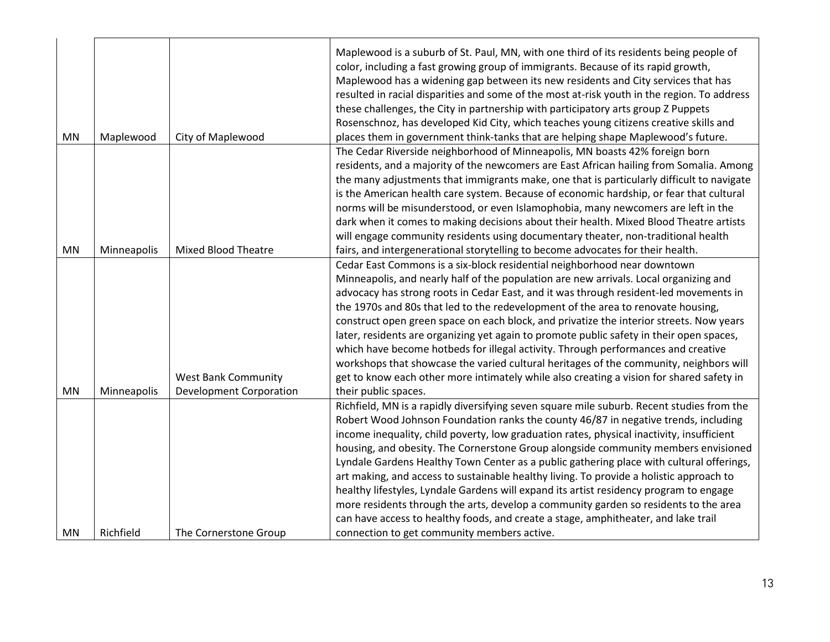|    |             |                                | Maplewood is a suburb of St. Paul, MN, with one third of its residents being people of<br>color, including a fast growing group of immigrants. Because of its rapid growth,<br>Maplewood has a widening gap between its new residents and City services that has<br>resulted in racial disparities and some of the most at-risk youth in the region. To address<br>these challenges, the City in partnership with participatory arts group Z Puppets<br>Rosenschnoz, has developed Kid City, which teaches young citizens creative skills and |
|----|-------------|--------------------------------|-----------------------------------------------------------------------------------------------------------------------------------------------------------------------------------------------------------------------------------------------------------------------------------------------------------------------------------------------------------------------------------------------------------------------------------------------------------------------------------------------------------------------------------------------|
| MN | Maplewood   | City of Maplewood              | places them in government think-tanks that are helping shape Maplewood's future.                                                                                                                                                                                                                                                                                                                                                                                                                                                              |
|    |             |                                | The Cedar Riverside neighborhood of Minneapolis, MN boasts 42% foreign born<br>residents, and a majority of the newcomers are East African hailing from Somalia. Among                                                                                                                                                                                                                                                                                                                                                                        |
|    |             |                                | the many adjustments that immigrants make, one that is particularly difficult to navigate                                                                                                                                                                                                                                                                                                                                                                                                                                                     |
|    |             |                                | is the American health care system. Because of economic hardship, or fear that cultural                                                                                                                                                                                                                                                                                                                                                                                                                                                       |
|    |             |                                | norms will be misunderstood, or even Islamophobia, many newcomers are left in the                                                                                                                                                                                                                                                                                                                                                                                                                                                             |
|    |             |                                | dark when it comes to making decisions about their health. Mixed Blood Theatre artists                                                                                                                                                                                                                                                                                                                                                                                                                                                        |
|    |             |                                | will engage community residents using documentary theater, non-traditional health                                                                                                                                                                                                                                                                                                                                                                                                                                                             |
| MN | Minneapolis | <b>Mixed Blood Theatre</b>     | fairs, and intergenerational storytelling to become advocates for their health.                                                                                                                                                                                                                                                                                                                                                                                                                                                               |
|    |             |                                | Cedar East Commons is a six-block residential neighborhood near downtown                                                                                                                                                                                                                                                                                                                                                                                                                                                                      |
|    |             |                                | Minneapolis, and nearly half of the population are new arrivals. Local organizing and                                                                                                                                                                                                                                                                                                                                                                                                                                                         |
|    |             |                                | advocacy has strong roots in Cedar East, and it was through resident-led movements in                                                                                                                                                                                                                                                                                                                                                                                                                                                         |
|    |             |                                | the 1970s and 80s that led to the redevelopment of the area to renovate housing,                                                                                                                                                                                                                                                                                                                                                                                                                                                              |
|    |             |                                | construct open green space on each block, and privatize the interior streets. Now years                                                                                                                                                                                                                                                                                                                                                                                                                                                       |
|    |             |                                | later, residents are organizing yet again to promote public safety in their open spaces,                                                                                                                                                                                                                                                                                                                                                                                                                                                      |
|    |             |                                | which have become hotbeds for illegal activity. Through performances and creative                                                                                                                                                                                                                                                                                                                                                                                                                                                             |
|    |             |                                | workshops that showcase the varied cultural heritages of the community, neighbors will                                                                                                                                                                                                                                                                                                                                                                                                                                                        |
|    |             | <b>West Bank Community</b>     | get to know each other more intimately while also creating a vision for shared safety in                                                                                                                                                                                                                                                                                                                                                                                                                                                      |
| MN | Minneapolis | <b>Development Corporation</b> | their public spaces.                                                                                                                                                                                                                                                                                                                                                                                                                                                                                                                          |
|    |             |                                | Richfield, MN is a rapidly diversifying seven square mile suburb. Recent studies from the                                                                                                                                                                                                                                                                                                                                                                                                                                                     |
|    |             |                                | Robert Wood Johnson Foundation ranks the county 46/87 in negative trends, including                                                                                                                                                                                                                                                                                                                                                                                                                                                           |
|    |             |                                | income inequality, child poverty, low graduation rates, physical inactivity, insufficient                                                                                                                                                                                                                                                                                                                                                                                                                                                     |
|    |             |                                | housing, and obesity. The Cornerstone Group alongside community members envisioned                                                                                                                                                                                                                                                                                                                                                                                                                                                            |
|    |             |                                | Lyndale Gardens Healthy Town Center as a public gathering place with cultural offerings,<br>art making, and access to sustainable healthy living. To provide a holistic approach to                                                                                                                                                                                                                                                                                                                                                           |
|    |             |                                | healthy lifestyles, Lyndale Gardens will expand its artist residency program to engage                                                                                                                                                                                                                                                                                                                                                                                                                                                        |
|    |             |                                | more residents through the arts, develop a community garden so residents to the area                                                                                                                                                                                                                                                                                                                                                                                                                                                          |
|    |             |                                |                                                                                                                                                                                                                                                                                                                                                                                                                                                                                                                                               |
|    |             |                                | can have access to healthy foods, and create a stage, amphitheater, and lake trail                                                                                                                                                                                                                                                                                                                                                                                                                                                            |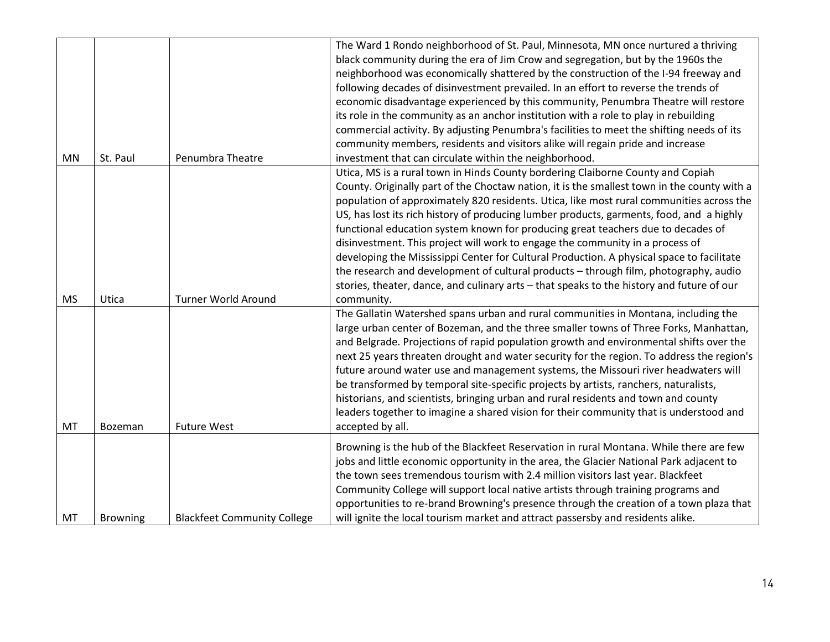| <b>MN</b> | St. Paul        | Penumbra Theatre                   | The Ward 1 Rondo neighborhood of St. Paul, Minnesota, MN once nurtured a thriving<br>black community during the era of Jim Crow and segregation, but by the 1960s the<br>neighborhood was economically shattered by the construction of the I-94 freeway and<br>following decades of disinvestment prevailed. In an effort to reverse the trends of<br>economic disadvantage experienced by this community, Penumbra Theatre will restore<br>its role in the community as an anchor institution with a role to play in rebuilding<br>commercial activity. By adjusting Penumbra's facilities to meet the shifting needs of its<br>community members, residents and visitors alike will regain pride and increase<br>investment that can circulate within the neighborhood.                                                                  |
|-----------|-----------------|------------------------------------|---------------------------------------------------------------------------------------------------------------------------------------------------------------------------------------------------------------------------------------------------------------------------------------------------------------------------------------------------------------------------------------------------------------------------------------------------------------------------------------------------------------------------------------------------------------------------------------------------------------------------------------------------------------------------------------------------------------------------------------------------------------------------------------------------------------------------------------------|
| <b>MS</b> | Utica           | <b>Turner World Around</b>         | Utica, MS is a rural town in Hinds County bordering Claiborne County and Copiah<br>County. Originally part of the Choctaw nation, it is the smallest town in the county with a<br>population of approximately 820 residents. Utica, like most rural communities across the<br>US, has lost its rich history of producing lumber products, garments, food, and a highly<br>functional education system known for producing great teachers due to decades of<br>disinvestment. This project will work to engage the community in a process of<br>developing the Mississippi Center for Cultural Production. A physical space to facilitate<br>the research and development of cultural products - through film, photography, audio<br>stories, theater, dance, and culinary arts - that speaks to the history and future of our<br>community. |
| MT        | Bozeman         | <b>Future West</b>                 | The Gallatin Watershed spans urban and rural communities in Montana, including the<br>large urban center of Bozeman, and the three smaller towns of Three Forks, Manhattan,<br>and Belgrade. Projections of rapid population growth and environmental shifts over the<br>next 25 years threaten drought and water security for the region. To address the region's<br>future around water use and management systems, the Missouri river headwaters will<br>be transformed by temporal site-specific projects by artists, ranchers, naturalists,<br>historians, and scientists, bringing urban and rural residents and town and county<br>leaders together to imagine a shared vision for their community that is understood and<br>accepted by all.                                                                                        |
| MT        | <b>Browning</b> | <b>Blackfeet Community College</b> | Browning is the hub of the Blackfeet Reservation in rural Montana. While there are few<br>jobs and little economic opportunity in the area, the Glacier National Park adjacent to<br>the town sees tremendous tourism with 2.4 million visitors last year. Blackfeet<br>Community College will support local native artists through training programs and<br>opportunities to re-brand Browning's presence through the creation of a town plaza that<br>will ignite the local tourism market and attract passersby and residents alike.                                                                                                                                                                                                                                                                                                     |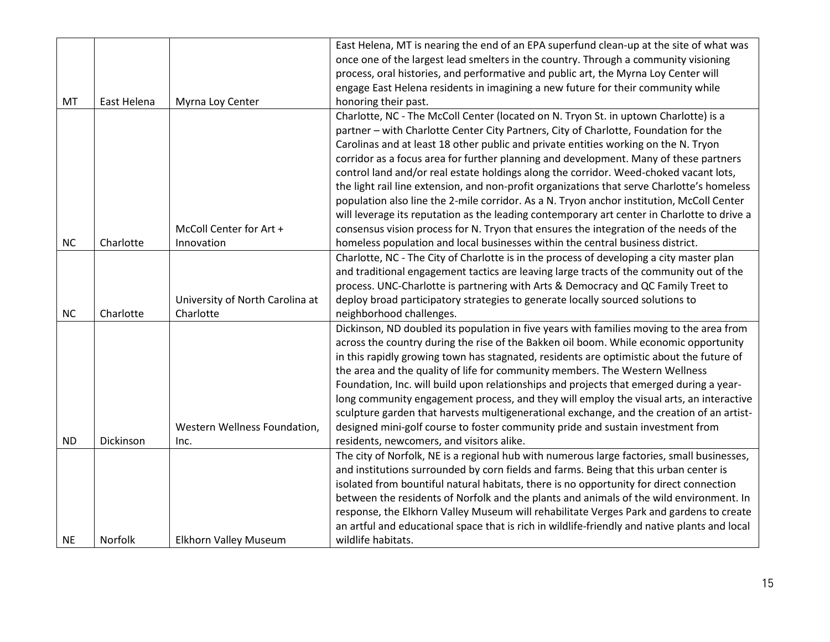|           |             |                                 | East Helena, MT is nearing the end of an EPA superfund clean-up at the site of what was       |
|-----------|-------------|---------------------------------|-----------------------------------------------------------------------------------------------|
|           |             |                                 | once one of the largest lead smelters in the country. Through a community visioning           |
|           |             |                                 | process, oral histories, and performative and public art, the Myrna Loy Center will           |
|           |             |                                 | engage East Helena residents in imagining a new future for their community while              |
| MT        | East Helena | Myrna Loy Center                | honoring their past.                                                                          |
|           |             |                                 | Charlotte, NC - The McColl Center (located on N. Tryon St. in uptown Charlotte) is a          |
|           |             |                                 | partner - with Charlotte Center City Partners, City of Charlotte, Foundation for the          |
|           |             |                                 | Carolinas and at least 18 other public and private entities working on the N. Tryon           |
|           |             |                                 | corridor as a focus area for further planning and development. Many of these partners         |
|           |             |                                 | control land and/or real estate holdings along the corridor. Weed-choked vacant lots,         |
|           |             |                                 | the light rail line extension, and non-profit organizations that serve Charlotte's homeless   |
|           |             |                                 | population also line the 2-mile corridor. As a N. Tryon anchor institution, McColl Center     |
|           |             |                                 | will leverage its reputation as the leading contemporary art center in Charlotte to drive a   |
|           |             | McColl Center for Art +         | consensus vision process for N. Tryon that ensures the integration of the needs of the        |
| NC        | Charlotte   | Innovation                      | homeless population and local businesses within the central business district.                |
|           |             |                                 | Charlotte, NC - The City of Charlotte is in the process of developing a city master plan      |
|           |             |                                 | and traditional engagement tactics are leaving large tracts of the community out of the       |
|           |             |                                 | process. UNC-Charlotte is partnering with Arts & Democracy and QC Family Treet to             |
|           |             | University of North Carolina at | deploy broad participatory strategies to generate locally sourced solutions to                |
| <b>NC</b> | Charlotte   | Charlotte                       | neighborhood challenges.                                                                      |
|           |             |                                 | Dickinson, ND doubled its population in five years with families moving to the area from      |
|           |             |                                 | across the country during the rise of the Bakken oil boom. While economic opportunity         |
|           |             |                                 | in this rapidly growing town has stagnated, residents are optimistic about the future of      |
|           |             |                                 | the area and the quality of life for community members. The Western Wellness                  |
|           |             |                                 | Foundation, Inc. will build upon relationships and projects that emerged during a year-       |
|           |             |                                 | long community engagement process, and they will employ the visual arts, an interactive       |
|           |             |                                 | sculpture garden that harvests multigenerational exchange, and the creation of an artist-     |
|           |             | Western Wellness Foundation,    | designed mini-golf course to foster community pride and sustain investment from               |
| <b>ND</b> | Dickinson   | Inc.                            | residents, newcomers, and visitors alike.                                                     |
|           |             |                                 | The city of Norfolk, NE is a regional hub with numerous large factories, small businesses,    |
|           |             |                                 | and institutions surrounded by corn fields and farms. Being that this urban center is         |
|           |             |                                 | isolated from bountiful natural habitats, there is no opportunity for direct connection       |
|           |             |                                 | between the residents of Norfolk and the plants and animals of the wild environment. In       |
|           |             |                                 | response, the Elkhorn Valley Museum will rehabilitate Verges Park and gardens to create       |
|           |             |                                 | an artful and educational space that is rich in wildlife-friendly and native plants and local |
| <b>NE</b> | Norfolk     | Elkhorn Valley Museum           | wildlife habitats.                                                                            |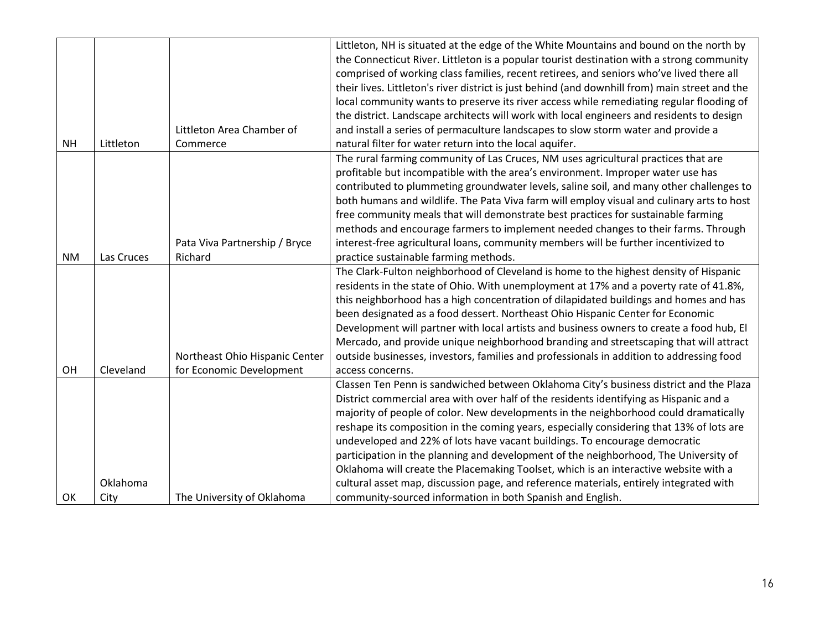|           |            |                                | Littleton, NH is situated at the edge of the White Mountains and bound on the north by         |
|-----------|------------|--------------------------------|------------------------------------------------------------------------------------------------|
|           |            |                                | the Connecticut River. Littleton is a popular tourist destination with a strong community      |
|           |            |                                | comprised of working class families, recent retirees, and seniors who've lived there all       |
|           |            |                                | their lives. Littleton's river district is just behind (and downhill from) main street and the |
|           |            |                                | local community wants to preserve its river access while remediating regular flooding of       |
|           |            |                                | the district. Landscape architects will work with local engineers and residents to design      |
|           |            | Littleton Area Chamber of      | and install a series of permaculture landscapes to slow storm water and provide a              |
| <b>NH</b> | Littleton  | Commerce                       | natural filter for water return into the local aquifer.                                        |
|           |            |                                | The rural farming community of Las Cruces, NM uses agricultural practices that are             |
|           |            |                                | profitable but incompatible with the area's environment. Improper water use has                |
|           |            |                                | contributed to plummeting groundwater levels, saline soil, and many other challenges to        |
|           |            |                                | both humans and wildlife. The Pata Viva farm will employ visual and culinary arts to host      |
|           |            |                                | free community meals that will demonstrate best practices for sustainable farming              |
|           |            |                                | methods and encourage farmers to implement needed changes to their farms. Through              |
|           |            | Pata Viva Partnership / Bryce  | interest-free agricultural loans, community members will be further incentivized to            |
| <b>NM</b> | Las Cruces | Richard                        | practice sustainable farming methods.                                                          |
|           |            |                                | The Clark-Fulton neighborhood of Cleveland is home to the highest density of Hispanic          |
|           |            |                                | residents in the state of Ohio. With unemployment at 17% and a poverty rate of 41.8%,          |
|           |            |                                | this neighborhood has a high concentration of dilapidated buildings and homes and has          |
|           |            |                                | been designated as a food dessert. Northeast Ohio Hispanic Center for Economic                 |
|           |            |                                | Development will partner with local artists and business owners to create a food hub, El       |
|           |            |                                | Mercado, and provide unique neighborhood branding and streetscaping that will attract          |
|           |            | Northeast Ohio Hispanic Center | outside businesses, investors, families and professionals in addition to addressing food       |
| OH        | Cleveland  | for Economic Development       | access concerns.                                                                               |
|           |            |                                | Classen Ten Penn is sandwiched between Oklahoma City's business district and the Plaza         |
|           |            |                                | District commercial area with over half of the residents identifying as Hispanic and a         |
|           |            |                                | majority of people of color. New developments in the neighborhood could dramatically           |
|           |            |                                | reshape its composition in the coming years, especially considering that 13% of lots are       |
|           |            |                                | undeveloped and 22% of lots have vacant buildings. To encourage democratic                     |
|           |            |                                | participation in the planning and development of the neighborhood, The University of           |
|           |            |                                | Oklahoma will create the Placemaking Toolset, which is an interactive website with a           |
|           | Oklahoma   |                                | cultural asset map, discussion page, and reference materials, entirely integrated with         |
| OK        | City       | The University of Oklahoma     | community-sourced information in both Spanish and English.                                     |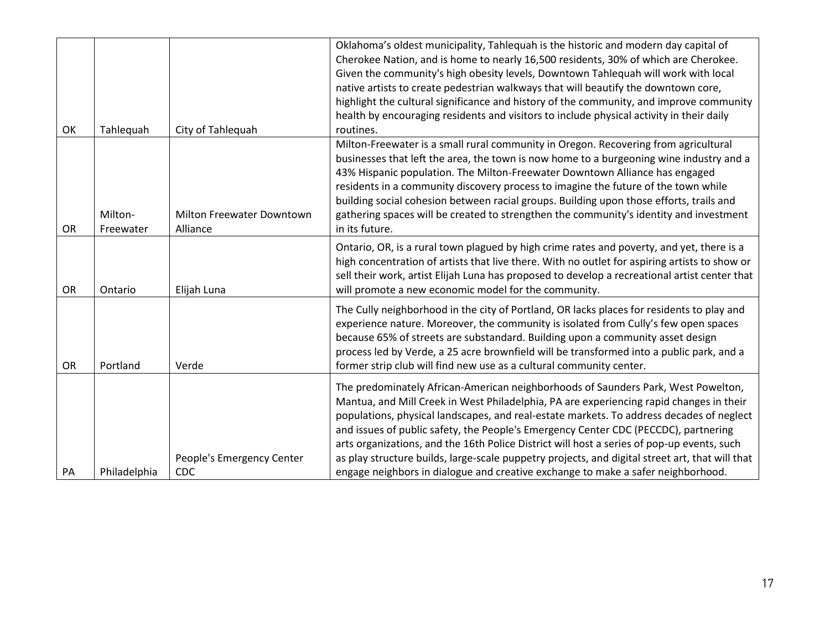|           |              |                                  | Oklahoma's oldest municipality, Tahlequah is the historic and modern day capital of<br>Cherokee Nation, and is home to nearly 16,500 residents, 30% of which are Cherokee.                                                                                                                                                                                                                                                                                    |
|-----------|--------------|----------------------------------|---------------------------------------------------------------------------------------------------------------------------------------------------------------------------------------------------------------------------------------------------------------------------------------------------------------------------------------------------------------------------------------------------------------------------------------------------------------|
|           |              |                                  | Given the community's high obesity levels, Downtown Tahlequah will work with local<br>native artists to create pedestrian walkways that will beautify the downtown core,                                                                                                                                                                                                                                                                                      |
|           |              |                                  | highlight the cultural significance and history of the community, and improve community                                                                                                                                                                                                                                                                                                                                                                       |
|           |              |                                  | health by encouraging residents and visitors to include physical activity in their daily                                                                                                                                                                                                                                                                                                                                                                      |
| OK        | Tahlequah    | City of Tahlequah                | routines.                                                                                                                                                                                                                                                                                                                                                                                                                                                     |
|           |              |                                  | Milton-Freewater is a small rural community in Oregon. Recovering from agricultural                                                                                                                                                                                                                                                                                                                                                                           |
|           |              |                                  | businesses that left the area, the town is now home to a burgeoning wine industry and a                                                                                                                                                                                                                                                                                                                                                                       |
|           |              |                                  | 43% Hispanic population. The Milton-Freewater Downtown Alliance has engaged                                                                                                                                                                                                                                                                                                                                                                                   |
|           |              |                                  | residents in a community discovery process to imagine the future of the town while                                                                                                                                                                                                                                                                                                                                                                            |
|           | Milton-      | <b>Milton Freewater Downtown</b> | building social cohesion between racial groups. Building upon those efforts, trails and<br>gathering spaces will be created to strengthen the community's identity and investment                                                                                                                                                                                                                                                                             |
| OR        | Freewater    | Alliance                         | in its future.                                                                                                                                                                                                                                                                                                                                                                                                                                                |
|           |              |                                  | Ontario, OR, is a rural town plagued by high crime rates and poverty, and yet, there is a                                                                                                                                                                                                                                                                                                                                                                     |
| OR        | Ontario      | Elijah Luna                      | high concentration of artists that live there. With no outlet for aspiring artists to show or<br>sell their work, artist Elijah Luna has proposed to develop a recreational artist center that<br>will promote a new economic model for the community.                                                                                                                                                                                                        |
|           |              |                                  |                                                                                                                                                                                                                                                                                                                                                                                                                                                               |
| <b>OR</b> | Portland     | Verde                            | The Cully neighborhood in the city of Portland, OR lacks places for residents to play and<br>experience nature. Moreover, the community is isolated from Cully's few open spaces<br>because 65% of streets are substandard. Building upon a community asset design<br>process led by Verde, a 25 acre brownfield will be transformed into a public park, and a<br>former strip club will find new use as a cultural community center.                         |
|           |              |                                  |                                                                                                                                                                                                                                                                                                                                                                                                                                                               |
|           |              |                                  | The predominately African-American neighborhoods of Saunders Park, West Powelton,<br>Mantua, and Mill Creek in West Philadelphia, PA are experiencing rapid changes in their<br>populations, physical landscapes, and real-estate markets. To address decades of neglect<br>and issues of public safety, the People's Emergency Center CDC (PECCDC), partnering<br>arts organizations, and the 16th Police District will host a series of pop-up events, such |
| PA        | Philadelphia | People's Emergency Center<br>CDC | as play structure builds, large-scale puppetry projects, and digital street art, that will that<br>engage neighbors in dialogue and creative exchange to make a safer neighborhood.                                                                                                                                                                                                                                                                           |
|           |              |                                  |                                                                                                                                                                                                                                                                                                                                                                                                                                                               |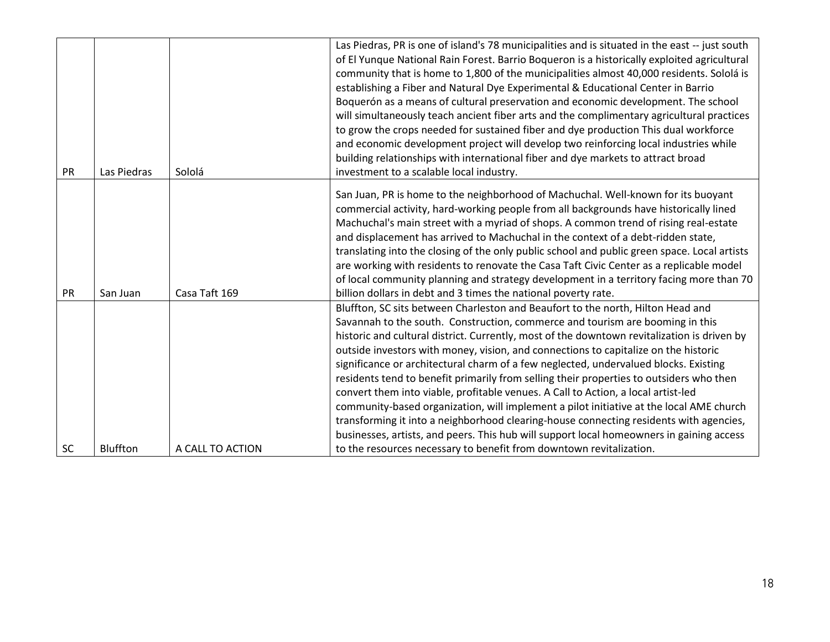| PR        | Las Piedras | Sololá           | Las Piedras, PR is one of island's 78 municipalities and is situated in the east -- just south<br>of El Yunque National Rain Forest. Barrio Boqueron is a historically exploited agricultural<br>community that is home to 1,800 of the municipalities almost 40,000 residents. Sololá is<br>establishing a Fiber and Natural Dye Experimental & Educational Center in Barrio<br>Boquerón as a means of cultural preservation and economic development. The school<br>will simultaneously teach ancient fiber arts and the complimentary agricultural practices<br>to grow the crops needed for sustained fiber and dye production This dual workforce<br>and economic development project will develop two reinforcing local industries while<br>building relationships with international fiber and dye markets to attract broad<br>investment to a scalable local industry.                                                                                                         |
|-----------|-------------|------------------|----------------------------------------------------------------------------------------------------------------------------------------------------------------------------------------------------------------------------------------------------------------------------------------------------------------------------------------------------------------------------------------------------------------------------------------------------------------------------------------------------------------------------------------------------------------------------------------------------------------------------------------------------------------------------------------------------------------------------------------------------------------------------------------------------------------------------------------------------------------------------------------------------------------------------------------------------------------------------------------|
| PR        | San Juan    | Casa Taft 169    | San Juan, PR is home to the neighborhood of Machuchal. Well-known for its buoyant<br>commercial activity, hard-working people from all backgrounds have historically lined<br>Machuchal's main street with a myriad of shops. A common trend of rising real-estate<br>and displacement has arrived to Machuchal in the context of a debt-ridden state,<br>translating into the closing of the only public school and public green space. Local artists<br>are working with residents to renovate the Casa Taft Civic Center as a replicable model<br>of local community planning and strategy development in a territory facing more than 70<br>billion dollars in debt and 3 times the national poverty rate.                                                                                                                                                                                                                                                                         |
| <b>SC</b> | Bluffton    | A CALL TO ACTION | Bluffton, SC sits between Charleston and Beaufort to the north, Hilton Head and<br>Savannah to the south. Construction, commerce and tourism are booming in this<br>historic and cultural district. Currently, most of the downtown revitalization is driven by<br>outside investors with money, vision, and connections to capitalize on the historic<br>significance or architectural charm of a few neglected, undervalued blocks. Existing<br>residents tend to benefit primarily from selling their properties to outsiders who then<br>convert them into viable, profitable venues. A Call to Action, a local artist-led<br>community-based organization, will implement a pilot initiative at the local AME church<br>transforming it into a neighborhood clearing-house connecting residents with agencies,<br>businesses, artists, and peers. This hub will support local homeowners in gaining access<br>to the resources necessary to benefit from downtown revitalization. |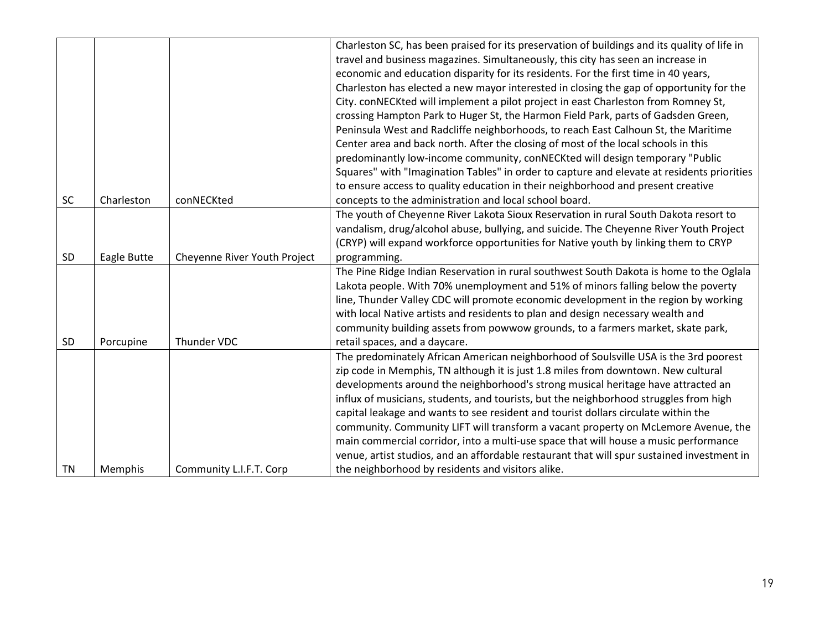|           |             |                              | Charleston SC, has been praised for its preservation of buildings and its quality of life in |
|-----------|-------------|------------------------------|----------------------------------------------------------------------------------------------|
|           |             |                              | travel and business magazines. Simultaneously, this city has seen an increase in             |
|           |             |                              | economic and education disparity for its residents. For the first time in 40 years,          |
|           |             |                              | Charleston has elected a new mayor interested in closing the gap of opportunity for the      |
|           |             |                              | City. conNECKted will implement a pilot project in east Charleston from Romney St,           |
|           |             |                              | crossing Hampton Park to Huger St, the Harmon Field Park, parts of Gadsden Green,            |
|           |             |                              | Peninsula West and Radcliffe neighborhoods, to reach East Calhoun St, the Maritime           |
|           |             |                              | Center area and back north. After the closing of most of the local schools in this           |
|           |             |                              | predominantly low-income community, conNECKted will design temporary "Public                 |
|           |             |                              | Squares" with "Imagination Tables" in order to capture and elevate at residents priorities   |
|           |             |                              | to ensure access to quality education in their neighborhood and present creative             |
| SC        | Charleston  | conNECKted                   | concepts to the administration and local school board.                                       |
|           |             |                              | The youth of Cheyenne River Lakota Sioux Reservation in rural South Dakota resort to         |
|           |             |                              | vandalism, drug/alcohol abuse, bullying, and suicide. The Cheyenne River Youth Project       |
|           |             |                              | (CRYP) will expand workforce opportunities for Native youth by linking them to CRYP          |
| SD        | Eagle Butte | Cheyenne River Youth Project | programming.                                                                                 |
|           |             |                              | The Pine Ridge Indian Reservation in rural southwest South Dakota is home to the Oglala      |
|           |             |                              | Lakota people. With 70% unemployment and 51% of minors falling below the poverty             |
|           |             |                              | line, Thunder Valley CDC will promote economic development in the region by working          |
|           |             |                              | with local Native artists and residents to plan and design necessary wealth and              |
|           |             |                              | community building assets from powwow grounds, to a farmers market, skate park,              |
| SD        | Porcupine   | Thunder VDC                  | retail spaces, and a daycare.                                                                |
|           |             |                              | The predominately African American neighborhood of Soulsville USA is the 3rd poorest         |
|           |             |                              | zip code in Memphis, TN although it is just 1.8 miles from downtown. New cultural            |
|           |             |                              | developments around the neighborhood's strong musical heritage have attracted an             |
|           |             |                              | influx of musicians, students, and tourists, but the neighborhood struggles from high        |
|           |             |                              | capital leakage and wants to see resident and tourist dollars circulate within the           |
|           |             |                              | community. Community LIFT will transform a vacant property on McLemore Avenue, the           |
|           |             |                              | main commercial corridor, into a multi-use space that will house a music performance         |
|           |             |                              | venue, artist studios, and an affordable restaurant that will spur sustained investment in   |
| <b>TN</b> | Memphis     | Community L.I.F.T. Corp      | the neighborhood by residents and visitors alike.                                            |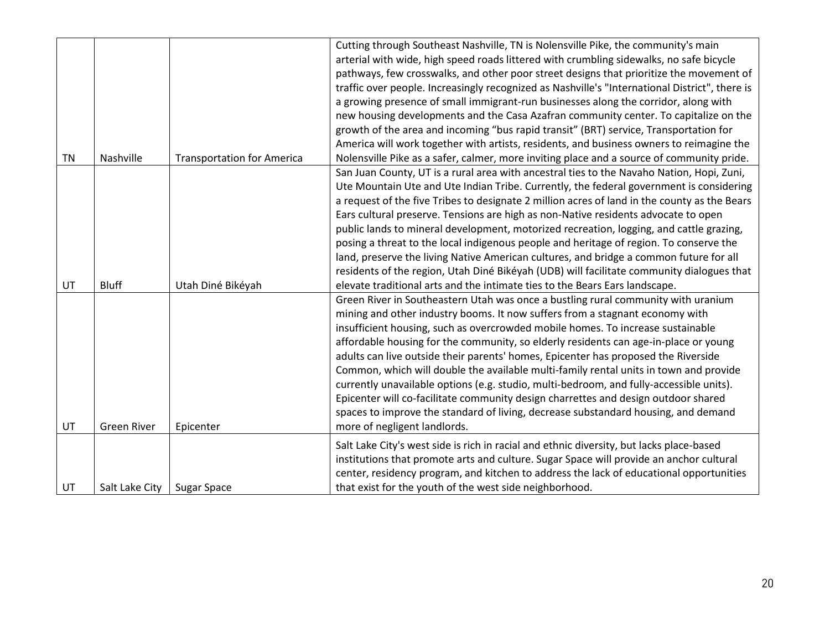|           |                    |                                   | Cutting through Southeast Nashville, TN is Nolensville Pike, the community's main<br>arterial with wide, high speed roads littered with crumbling sidewalks, no safe bicycle<br>pathways, few crosswalks, and other poor street designs that prioritize the movement of<br>traffic over people. Increasingly recognized as Nashville's "International District", there is<br>a growing presence of small immigrant-run businesses along the corridor, along with<br>new housing developments and the Casa Azafran community center. To capitalize on the<br>growth of the area and incoming "bus rapid transit" (BRT) service, Transportation for<br>America will work together with artists, residents, and business owners to reimagine the                                                                                      |
|-----------|--------------------|-----------------------------------|------------------------------------------------------------------------------------------------------------------------------------------------------------------------------------------------------------------------------------------------------------------------------------------------------------------------------------------------------------------------------------------------------------------------------------------------------------------------------------------------------------------------------------------------------------------------------------------------------------------------------------------------------------------------------------------------------------------------------------------------------------------------------------------------------------------------------------|
| <b>TN</b> | Nashville          | <b>Transportation for America</b> | Nolensville Pike as a safer, calmer, more inviting place and a source of community pride.                                                                                                                                                                                                                                                                                                                                                                                                                                                                                                                                                                                                                                                                                                                                          |
|           |                    |                                   | San Juan County, UT is a rural area with ancestral ties to the Navaho Nation, Hopi, Zuni,<br>Ute Mountain Ute and Ute Indian Tribe. Currently, the federal government is considering<br>a request of the five Tribes to designate 2 million acres of land in the county as the Bears<br>Ears cultural preserve. Tensions are high as non-Native residents advocate to open<br>public lands to mineral development, motorized recreation, logging, and cattle grazing,<br>posing a threat to the local indigenous people and heritage of region. To conserve the<br>land, preserve the living Native American cultures, and bridge a common future for all<br>residents of the region, Utah Diné Bikéyah (UDB) will facilitate community dialogues that                                                                             |
| UT        | <b>Bluff</b>       | Utah Diné Bikéyah                 | elevate traditional arts and the intimate ties to the Bears Ears landscape.                                                                                                                                                                                                                                                                                                                                                                                                                                                                                                                                                                                                                                                                                                                                                        |
| UT        | <b>Green River</b> | Epicenter                         | Green River in Southeastern Utah was once a bustling rural community with uranium<br>mining and other industry booms. It now suffers from a stagnant economy with<br>insufficient housing, such as overcrowded mobile homes. To increase sustainable<br>affordable housing for the community, so elderly residents can age-in-place or young<br>adults can live outside their parents' homes, Epicenter has proposed the Riverside<br>Common, which will double the available multi-family rental units in town and provide<br>currently unavailable options (e.g. studio, multi-bedroom, and fully-accessible units).<br>Epicenter will co-facilitate community design charrettes and design outdoor shared<br>spaces to improve the standard of living, decrease substandard housing, and demand<br>more of negligent landlords. |
| UT        | Salt Lake City     | <b>Sugar Space</b>                | Salt Lake City's west side is rich in racial and ethnic diversity, but lacks place-based<br>institutions that promote arts and culture. Sugar Space will provide an anchor cultural<br>center, residency program, and kitchen to address the lack of educational opportunities<br>that exist for the youth of the west side neighborhood.                                                                                                                                                                                                                                                                                                                                                                                                                                                                                          |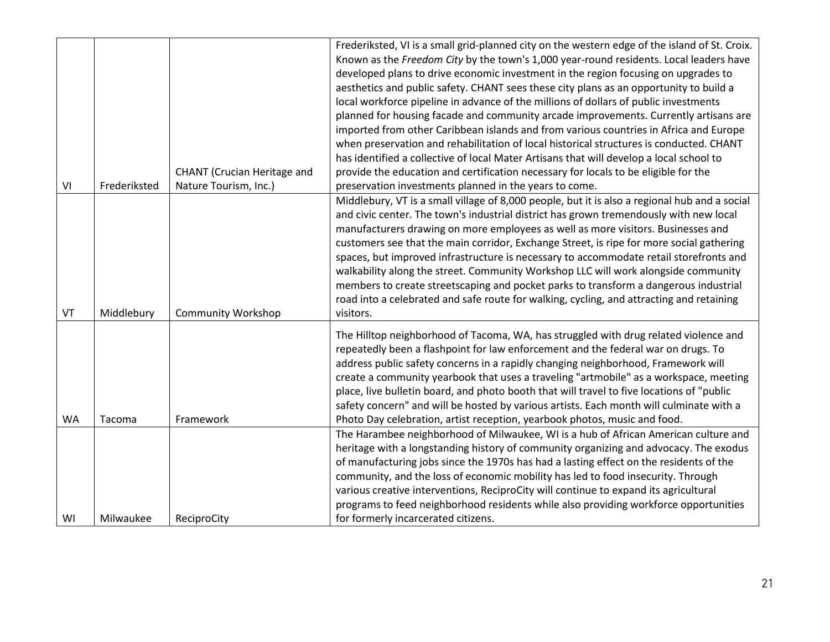|           |              |                                    | Frederiksted, VI is a small grid-planned city on the western edge of the island of St. Croix. |
|-----------|--------------|------------------------------------|-----------------------------------------------------------------------------------------------|
|           |              |                                    | Known as the Freedom City by the town's 1,000 year-round residents. Local leaders have        |
|           |              |                                    | developed plans to drive economic investment in the region focusing on upgrades to            |
|           |              |                                    | aesthetics and public safety. CHANT sees these city plans as an opportunity to build a        |
|           |              |                                    | local workforce pipeline in advance of the millions of dollars of public investments          |
|           |              |                                    | planned for housing facade and community arcade improvements. Currently artisans are          |
|           |              |                                    | imported from other Caribbean islands and from various countries in Africa and Europe         |
|           |              |                                    | when preservation and rehabilitation of local historical structures is conducted. CHANT       |
|           |              |                                    | has identified a collective of local Mater Artisans that will develop a local school to       |
|           |              | <b>CHANT</b> (Crucian Heritage and | provide the education and certification necessary for locals to be eligible for the           |
| VI        | Frederiksted | Nature Tourism, Inc.)              | preservation investments planned in the years to come.                                        |
|           |              |                                    | Middlebury, VT is a small village of 8,000 people, but it is also a regional hub and a social |
|           |              |                                    | and civic center. The town's industrial district has grown tremendously with new local        |
|           |              |                                    | manufacturers drawing on more employees as well as more visitors. Businesses and              |
|           |              |                                    | customers see that the main corridor, Exchange Street, is ripe for more social gathering      |
|           |              |                                    | spaces, but improved infrastructure is necessary to accommodate retail storefronts and        |
|           |              |                                    | walkability along the street. Community Workshop LLC will work alongside community            |
|           |              |                                    | members to create streetscaping and pocket parks to transform a dangerous industrial          |
|           |              |                                    | road into a celebrated and safe route for walking, cycling, and attracting and retaining      |
| VT        | Middlebury   | <b>Community Workshop</b>          | visitors.                                                                                     |
|           |              |                                    |                                                                                               |
|           |              |                                    | The Hilltop neighborhood of Tacoma, WA, has struggled with drug related violence and          |
|           |              |                                    | repeatedly been a flashpoint for law enforcement and the federal war on drugs. To             |
|           |              |                                    | address public safety concerns in a rapidly changing neighborhood, Framework will             |
|           |              |                                    | create a community yearbook that uses a traveling "artmobile" as a workspace, meeting         |
|           |              |                                    | place, live bulletin board, and photo booth that will travel to five locations of "public     |
|           |              |                                    | safety concern" and will be hosted by various artists. Each month will culminate with a       |
| <b>WA</b> | Tacoma       | Framework                          | Photo Day celebration, artist reception, yearbook photos, music and food.                     |
|           |              |                                    | The Harambee neighborhood of Milwaukee, WI is a hub of African American culture and           |
|           |              |                                    | heritage with a longstanding history of community organizing and advocacy. The exodus         |
|           |              |                                    | of manufacturing jobs since the 1970s has had a lasting effect on the residents of the        |
|           |              |                                    | community, and the loss of economic mobility has led to food insecurity. Through              |
|           |              |                                    | various creative interventions, ReciproCity will continue to expand its agricultural          |
|           |              |                                    | programs to feed neighborhood residents while also providing workforce opportunities          |
| WI        | Milwaukee    | ReciproCity                        | for formerly incarcerated citizens.                                                           |